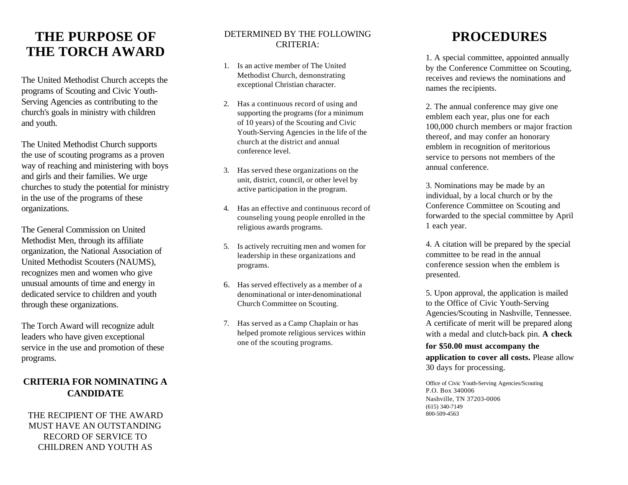# **THE PURPOSE OF THE TORCH AWARD**

The United Methodist Church accepts the programs of Scouting and Civic Youth-Serving Agencies as contributing to the church's goals in ministry with children and youth.

The United Methodist Church supports the use of scouting programs as a proven way of reaching and ministering with boys and girls and their families. We urge churches to study the potential for ministry in the use of the programs of these organizations.

The General Commission on United Methodist Men, through its affiliate organization, the National Association of United Methodist Scouters (NAUMS), recognizes men and women who give unusual amounts of time and energy in dedicated service to children and youth through these organizations.

The Torch Award will recognize adult leaders who have given exceptional service in the use and promotion of these programs.

## **CRITERIA FOR NOMINATING A CANDIDATE**

THE RECIPIENT OF THE AWARD MUST HAVE AN OUTSTANDING RECORD OF SERVICE TO CHILDREN AND YOUTH AS

### DETERMINED BY THE FOLLOWING CRITERIA:

- 1. Is an active member of The United Methodist Church, demonstrating exceptional Christian character.
- 2. Has a continuous record of using and supporting the programs (for a minimum of 10 years) of the Scouting and Civic Youth-Serving Agencies in the life of the church at the district and annual conference level.
- 3. Has served these organizations on the unit, district, council, or other level by active participation in the program.
- 4. Has an effective and continuous record of counseling young people enrolled in the religious awards programs.
- 5. Is actively recruiting men and women for leadership in these organizations and programs.
- 6. Has served effectively as a member of a denominational or inter-denominational Church Committee on Scouting.
- 7. Has served as a Camp Chaplain or has helped promote religious services within one of the scouting programs.

# **PROCEDURES**

1. A special committee, appointed annually by the Conference Committee on Scouting, receives and reviews the nominations and names the recipients.

2. The annual conference may give one emblem each year, plus one for each 100,000 church members or major fraction thereof, and may confer an honorary emblem in recognition of meritorious service to persons not members of the annual conference.

3. Nominations may be made by an individual, by a local church or by the Conference Committee on Scouting and forwarded to the special committee by April 1 each year.

4. A citation will be prepared by the special committee to be read in the annual conference session when the emblem is presented.

5. Upon approval, the application is mailed to the Office of Civic Youth-Serving Agencies/Scouting in Nashville, Tennessee. A certificate of merit will be prepared along with a medal and clutch-back pin. **A check** 

**for \$50.00 must accompany the application to cover all costs.** Please allow 30 days for processing.

Office of Civic Youth-Serving Agencies/Scouting P.O. Box 340006 Nashville, TN 37203-0006 (615) 340-7149 800-509-4563